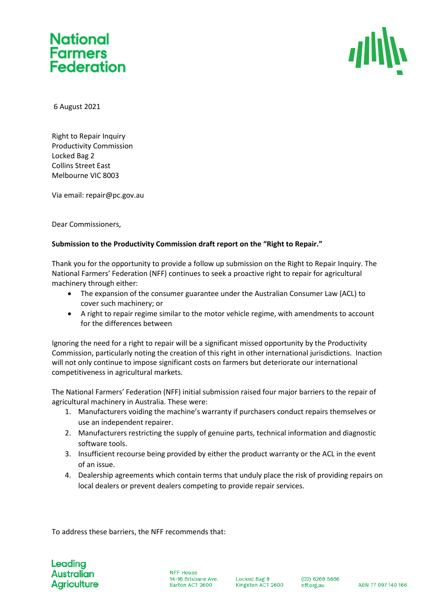# **National** Farmers<br>Federation



6 August 2021

Right to Repair Inquiry Productivity Commission Locked Bag 2 Collins Street East Melbourne VIC 8003

Via email: repair@pc.gov.au

Dear Commissioners,

### **Submission to the Productivity Commission draft report on the "Right to Repair."**

Thank you for the opportunity to provide a follow up submission on the Right to Repair Inquiry. The National Farmers' Federation (NFF) continues to seek a proactive right to repair for agricultural machinery through either:

- The expansion of the consumer guarantee under the Australian Consumer Law (ACL) to cover such machinery; or
- A right to repair regime similar to the motor vehicle regime, with amendments to account for the differences between

Ignoring the need for a right to repair will be a significant missed opportunity by the Productivity Commission, particularly noting the creation of this right in other international jurisdictions. Inaction will not only continue to impose significant costs on farmers but deteriorate our international competitiveness in agricultural markets.

The National Farmers' Federation (NFF) initial submission raised four major barriers to the repair of agricultural machinery in Australia. These were:

- 1. Manufacturers voiding the machine's warranty if purchasers conduct repairs themselves or use an independent repairer.
- 2. Manufacturers restricting the supply of genuine parts, technical information and diagnostic software tools.
- 3. Insufficient recourse being provided by either the product warranty or the ACL in the event of an issue.
- 4. Dealership agreements which contain terms that unduly place the risk of providing repairs on local dealers or prevent dealers competing to provide repair services.

To address these barriers, the NFF recommends that:

Leading **Australian Agriculture** 

**NFF House** 14-16 Brisbane Ave. Barton ACT 2600

Locked Bag 9 Kingston ACT 2600

 $(02)$  6269 5666 nff.org.au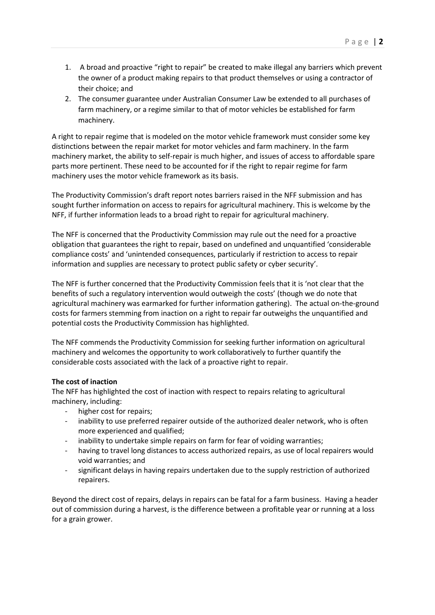- 1. A broad and proactive "right to repair" be created to make illegal any barriers which prevent the owner of a product making repairs to that product themselves or using a contractor of their choice; and
- 2. The consumer guarantee under Australian Consumer Law be extended to all purchases of farm machinery, or a regime similar to that of motor vehicles be established for farm machinery.

A right to repair regime that is modeled on the motor vehicle framework must consider some key distinctions between the repair market for motor vehicles and farm machinery. In the farm machinery market, the ability to self-repair is much higher, and issues of access to affordable spare parts more pertinent. These need to be accounted for if the right to repair regime for farm machinery uses the motor vehicle framework as its basis.

The Productivity Commission's draft report notes barriers raised in the NFF submission and has sought further information on access to repairs for agricultural machinery. This is welcome by the NFF, if further information leads to a broad right to repair for agricultural machinery.

The NFF is concerned that the Productivity Commission may rule out the need for a proactive obligation that guarantees the right to repair, based on undefined and unquantified 'considerable compliance costs' and 'unintended consequences, particularly if restriction to access to repair information and supplies are necessary to protect public safety or cyber security'.

The NFF is further concerned that the Productivity Commission feels that it is 'not clear that the benefits of such a regulatory intervention would outweigh the costs' (though we do note that agricultural machinery was earmarked for further information gathering). The actual on-the-ground costs for farmers stemming from inaction on a right to repair far outweighs the unquantified and potential costs the Productivity Commission has highlighted.

The NFF commends the Productivity Commission for seeking further information on agricultural machinery and welcomes the opportunity to work collaboratively to further quantify the considerable costs associated with the lack of a proactive right to repair.

## **The cost of inaction**

The NFF has highlighted the cost of inaction with respect to repairs relating to agricultural machinery, including:

- higher cost for repairs;
- inability to use preferred repairer outside of the authorized dealer network, who is often more experienced and qualified;
- inability to undertake simple repairs on farm for fear of voiding warranties;
- having to travel long distances to access authorized repairs, as use of local repairers would void warranties; and
- significant delays in having repairs undertaken due to the supply restriction of authorized repairers.

Beyond the direct cost of repairs, delays in repairs can be fatal for a farm business. Having a header out of commission during a harvest, is the difference between a profitable year or running at a loss for a grain grower.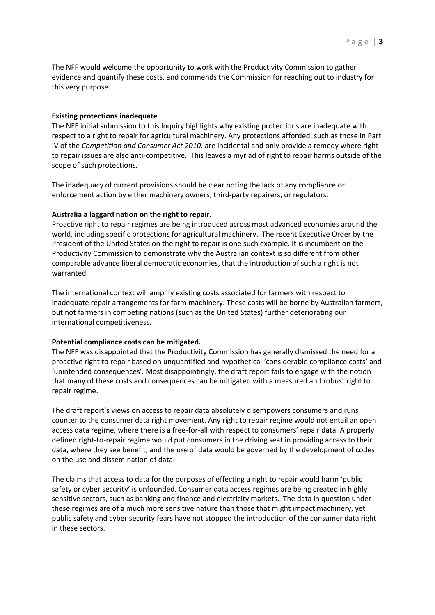The NFF would welcome the opportunity to work with the Productivity Commission to gather evidence and quantify these costs, and commends the Commission for reaching out to industry for this very purpose.

#### **Existing protections inadequate**

The NFF initial submission to this Inquiry highlights why existing protections are inadequate with respect to a right to repair for agricultural machinery. Any protections afforded, such as those in Part IV of the *Competition and Consumer Act 2010,* are incidental and only provide a remedy where right to repair issues are also anti-competitive. This leaves a myriad of right to repair harms outside of the scope of such protections.

The inadequacy of current provisions should be clear noting the lack of any compliance or enforcement action by either machinery owners, third-party repairers, or regulators.

#### **Australia a laggard nation on the right to repair.**

Proactive right to repair regimes are being introduced across most advanced economies around the world, including specific protections for agricultural machinery. The recent Executive Order by the President of the United States on the right to repair is one such example. It is incumbent on the Productivity Commission to demonstrate why the Australian context is so different from other comparable advance liberal democratic economies, that the introduction of such a right is not warranted.

The international context will amplify existing costs associated for farmers with respect to inadequate repair arrangements for farm machinery. These costs will be borne by Australian farmers, but not farmers in competing nations (such as the United States) further deteriorating our international competitiveness.

#### **Potential compliance costs can be mitigated.**

The NFF was disappointed that the Productivity Commission has generally dismissed the need for a proactive right to repair based on unquantified and hypothetical 'considerable compliance costs' and 'unintended consequences'. Most disappointingly, the draft report fails to engage with the notion that many of these costs and consequences can be mitigated with a measured and robust right to repair regime.

The draft report's views on access to repair data absolutely disempowers consumers and runs counter to the consumer data right movement. Any right to repair regime would not entail an open access data regime, where there is a free-for-all with respect to consumers' repair data. A properly defined right-to-repair regime would put consumers in the driving seat in providing access to their data, where they see benefit, and the use of data would be governed by the development of codes on the use and dissemination of data.

The claims that access to data for the purposes of effecting a right to repair would harm 'public safety or cyber security' is unfounded. Consumer data access regimes are being created in highly sensitive sectors, such as banking and finance and electricity markets. The data in question under these regimes are of a much more sensitive nature than those that might impact machinery, yet public safety and cyber security fears have not stopped the introduction of the consumer data right in these sectors.